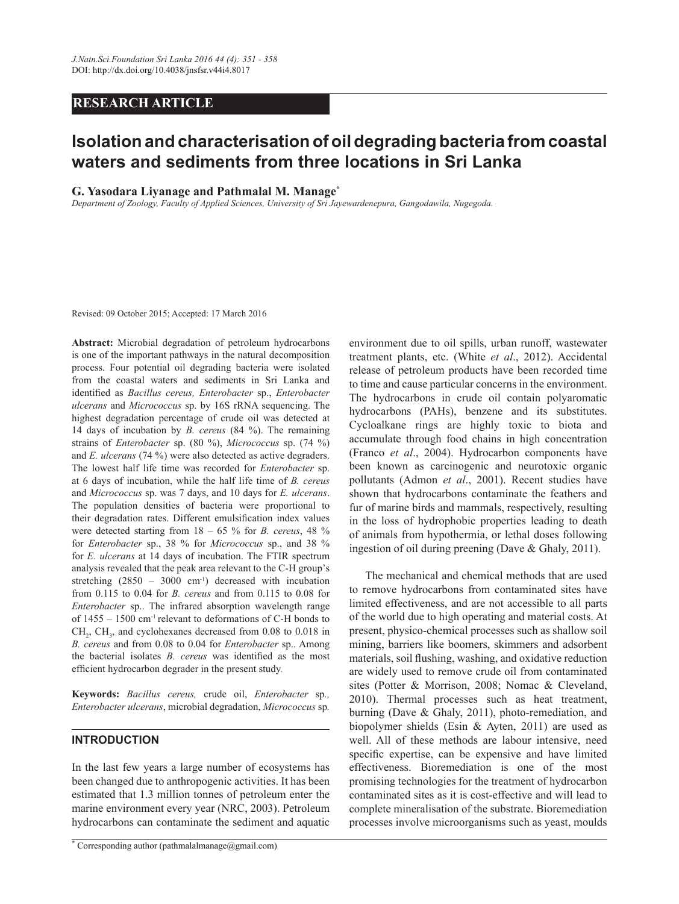## *RESEARCH ARTICLE*

# **Isolation and characterisation of oil degrading bacteria from coastal waters and sediments from three locations in Sri Lanka**

#### **G. Yasodara Livanage and Pathmalal M. Manage\***

*Department of Zoology, Faculty of Applied Sciences, University of Sri Jayewardenepura, Gangodawila, Nugegoda.*

Revised: 09 October 2015; Accepted: 17 March 2016

**Abstract:** Microbial degradation of petroleum hydrocarbons is one of the important pathways in the natural decomposition process. Four potential oil degrading bacteria were isolated from the coastal waters and sediments in Sri Lanka and identified as *Bacillus cereus, Enterobacter* sp., *Enterobacter ulcerans* and *Micrococcus* sp. by 16S rRNA sequencing. The highest degradation percentage of crude oil was detected at 14 days of incubation by *B. cereus* (84 %). The remaining strains of *Enterobacter* sp. (80 %), *Micrococcus* sp. (74 %) and *E. ulcerans* (74 %) were also detected as active degraders. The lowest half life time was recorded for *Enterobacter* sp. at 6 days of incubation, while the half life time of *B. cereus* and *Micrococcus* sp. was 7 days, and 10 days for *E. ulcerans*. The population densities of bacteria were proportional to their degradation rates. Different emulsification index values were detected starting from  $18 - 65$  % for *B. cereus*, 48 % for *Enterobacter* sp., 38 % for *Micrococcus* sp., and 38 % for *E. ulcerans* at 14 days of incubation. The FTIR spectrum analysis revealed that the peak area relevant to the C-H group's stretching  $(2850 - 3000 \text{ cm}^{-1})$  decreased with incubation from 0.115 to 0.04 for *B. cereus* and from 0.115 to 0.08 for *Enterobacter* sp.. The infrared absorption wavelength range of  $1455 - 1500$  cm<sup>-1</sup> relevant to deformations of C-H bonds to  $CH<sub>2</sub>$ , CH<sub>3</sub>, and cyclohexanes decreased from 0.08 to 0.018 in *B. cereus* and from 0.08 to 0.04 for *Enterobacter* sp.. Among the bacterial isolates *B. cereus* was identified as the most efficient hydrocarbon degrader in the present study.

**.H\ZRUGV** *Bacillus cereus,* crude oil, *Enterobacter* sp*., Enterobacter ulcerans*, microbial degradation, *Micrococcus* sp*.*

## **INTRODUCTION**

In the last few years a large number of ecosystems has been changed due to anthropogenic activities. It has been estimated that 1.3 million tonnes of petroleum enter the marine environment every year (NRC, 2003). Petroleum hydrocarbons can contaminate the sediment and aquatic environment due to oil spills, urban runoff, wastewater treatment plants, etc. (White *et al*., 2012). Accidental release of petroleum products have been recorded time to time and cause particular concerns in the environment. The hydrocarbons in crude oil contain polyaromatic hydrocarbons (PAHs), benzene and its substitutes. Cycloalkane rings are highly toxic to biota and accumulate through food chains in high concentration (Franco *et al*., 2004). Hydrocarbon components have been known as carcinogenic and neurotoxic organic pollutants (Admon *et al*., 2001). Recent studies have shown that hydrocarbons contaminate the feathers and fur of marine birds and mammals, respectively, resulting in the loss of hydrophobic properties leading to death of animals from hypothermia, or lethal doses following ingestion of oil during preening (Dave & Ghaly, 2011).

 The mechanical and chemical methods that are used to remove hydrocarbons from contaminated sites have limited effectiveness, and are not accessible to all parts of the world due to high operating and material costs. At present, physico-chemical processes such as shallow soil mining, barriers like boomers, skimmers and adsorbent materials, soil flushing, washing, and oxidative reduction are widely used to remove crude oil from contaminated sites (Potter & Morrison, 2008; Nomac & Cleveland, 2010). Thermal processes such as heat treatment, burning (Dave & Ghaly, 2011), photo-remediation, and biopolymer shields (Esin & Ayten, 2011) are used as well. All of these methods are labour intensive, need specific expertise, can be expensive and have limited effectiveness. Bioremediation is one of the most promising technologies for the treatment of hydrocarbon contaminated sites as it is cost-effective and will lead to complete mineralisation of the substrate. Bioremediation processes involve microorganisms such as yeast, moulds

**<sup>\*</sup>** Corresponding author (pathmalalmanage@gmail.com)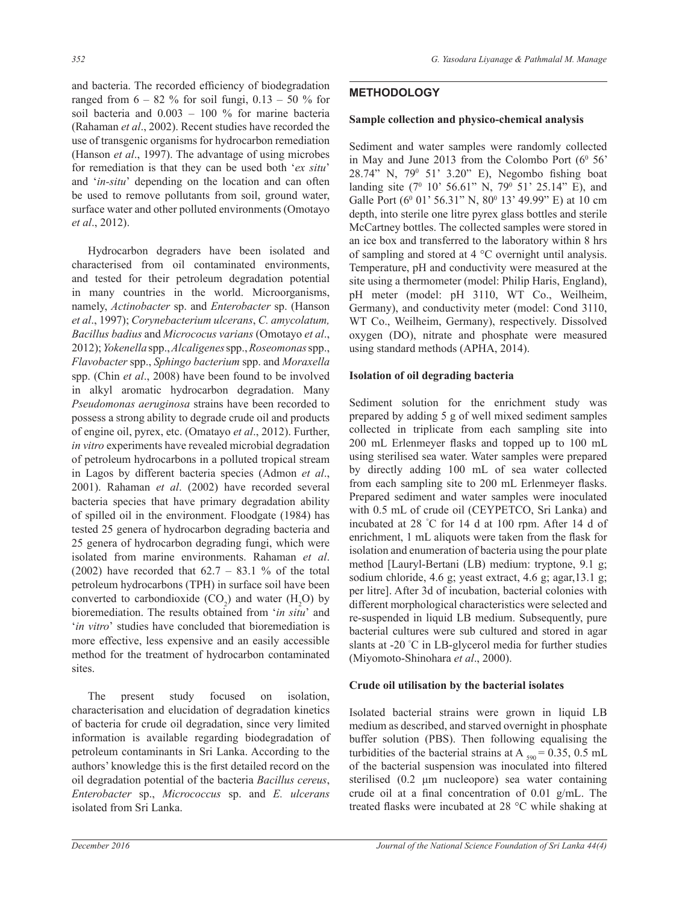and bacteria. The recorded efficiency of biodegradation ranged from  $6 - 82$  % for soil fungi,  $0.13 - 50$  % for soil bacteria and  $0.003 - 100$  % for marine bacteria (Rahaman *et al*., 2002). Recent studies have recorded the use of transgenic organisms for hydrocarbon remediation (Hanson *et al*., 1997). The advantage of using microbes for remediation is that they can be used both 'ex situ' and 'in-situ' depending on the location and can often be used to remove pollutants from soil, ground water, surface water and other polluted environments (Omotayo *et al*., 2012).

 Hydrocarbon degraders have been isolated and characterised from oil contaminated environments, and tested for their petroleum degradation potential in many countries in the world. Microorganisms, namely, *Actinobacter* sp. and *Enterobacter* sp. (Hanson *et al*., 1997); *Corynebacterium ulcerans*, *C. amycolatum, Bacillus badius* and *Micrococus varians* (Omotayo *et al*., 2012); *Yokenella* spp., *Alcaligenes* spp., *Roseomonas* spp., *Flavobacter* spp., *Sphingo bacterium* spp. and *Moraxella*  spp. (Chin *et al*., 2008) have been found to be involved in alkyl aromatic hydrocarbon degradation. Many *Pseudomonas aeruginosa* strains have been recorded to possess a strong ability to degrade crude oil and products of engine oil, pyrex, etc. (Omatayo *et al*., 2012). Further, *in vitro* experiments have revealed microbial degradation of petroleum hydrocarbons in a polluted tropical stream in Lagos by different bacteria species (Admon *et al*., 2001). Rahaman *et al*. (2002) have recorded several bacteria species that have primary degradation ability of spilled oil in the environment. Floodgate (1984) has tested 25 genera of hydrocarbon degrading bacteria and 25 genera of hydrocarbon degrading fungi, which were isolated from marine environments. Rahaman *et al*. (2002) have recorded that  $62.7 - 83.1$  % of the total petroleum hydrocarbons (TPH) in surface soil have been converted to carbondioxide  $(CO_2)$  and water  $(H_2O)$  by bioremediation. The results obtained from 'in situ' and '*in vitro*' studies have concluded that bioremediation is more effective, less expensive and an easily accessible method for the treatment of hydrocarbon contaminated sites.

 The present study focused on isolation, characterisation and elucidation of degradation kinetics of bacteria for crude oil degradation, since very limited information is available regarding biodegradation of petroleum contaminants in Sri Lanka. According to the authors' knowledge this is the first detailed record on the oil degradation potential of the bacteria *Bacillus cereus*, *Enterobacter* sp., *Micrococcus* sp. and *E. ulcerans*  isolated from Sri Lanka.

# **METHODOLOGY**

## **Sample collection and physico-chemical analysis**

Sediment and water samples were randomly collected in May and June 2013 from the Colombo Port  $(6^{\circ} 56^{\circ})$ 28.74" N, 79<sup>0</sup> 51' 3.20" E), Negombo fishing boat landing site  $(7^0 \t10^7 \t56.61^7 \tN, 79^0 \t51^7 \t25.14^7 \tE)$ , and Galle Port (6<sup>0</sup> 01' 56.31" N, 80<sup>0</sup> 13' 49.99" E) at 10 cm depth, into sterile one litre pyrex glass bottles and sterile McCartney bottles. The collected samples were stored in an ice box and transferred to the laboratory within 8 hrs of sampling and stored at 4 °C overnight until analysis. Temperature, pH and conductivity were measured at the site using a thermometer (model: Philip Haris, England), pH meter (model: pH 3110, WT Co., Weilheim, Germany), and conductivity meter (model: Cond 3110, WT Co., Weilheim, Germany), respectively. Dissolved oxygen (DO), nitrate and phosphate were measured using standard methods (APHA, 2014).

## **Isolation of oil degrading bacteria**

Sediment solution for the enrichment study was prepared by adding 5 g of well mixed sediment samples collected in triplicate from each sampling site into  $200$  mL Erlenmeyer flasks and topped up to  $100$  mL using sterilised sea water. Water samples were prepared by directly adding 100 mL of sea water collected from each sampling site to 200 mL Erlenmeyer flasks. Prepared sediment and water samples were inoculated with 0.5 mL of crude oil (CEYPETCO, Sri Lanka) and incubated at 28 °C for 14 d at 100 rpm. After 14 d of enrichment, 1 mL aliquots were taken from the flask for isolation and enumeration of bacteria using the pour plate method [Lauryl-Bertani (LB) medium: tryptone, 9.1 g; sodium chloride, 4.6 g; yeast extract, 4.6 g; agar,13.1 g; per litre]. After 3d of incubation, bacterial colonies with different morphological characteristics were selected and re-suspended in liquid LB medium. Subsequently, pure bacterial cultures were sub cultured and stored in agar slants at -20 °C in LB-glycerol media for further studies (Miyomoto-Shinohara *et al*., 2000).

#### Crude oil utilisation by the bacterial isolates

Isolated bacterial strains were grown in liquid LB medium as described, and starved overnight in phosphate buffer solution (PBS). Then following equalising the turbidities of the bacterial strains at A  $_{590}$  = 0.35, 0.5 mL of the bacterial suspension was inoculated into filtered sterilised  $(0.2 \mu m$  nucleopore) sea water containing crude oil at a final concentration of  $0.01$  g/mL. The treated flasks were incubated at 28  $^{\circ}$ C while shaking at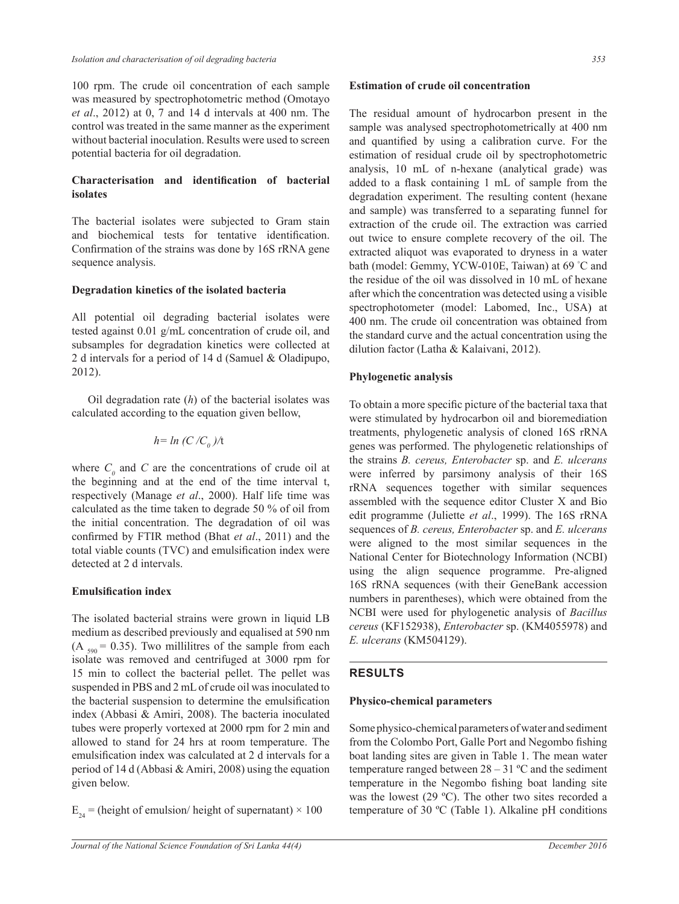100 rpm. The crude oil concentration of each sample was measured by spectrophotometric method (Omotayo *et al*., 2012) at 0, 7 and 14 d intervals at 400 nm. The control was treated in the same manner as the experiment without bacterial inoculation. Results were used to screen potential bacteria for oil degradation.

## Characterisation and identification of bacterial **Lisolates**

The bacterial isolates were subjected to Gram stain and biochemical tests for tentative identification. Confirmation of the strains was done by 16S rRNA gene sequence analysis.

#### **Degradation kinetics of the isolated bacteria**

All potential oil degrading bacterial isolates were tested against 0.01 g/mL concentration of crude oil, and subsamples for degradation kinetics were collected at 2 d intervals for a period of 14 d (Samuel & Oladipupo, 2012).

 Oil degradation rate (*h*) of the bacterial isolates was calculated according to the equation given bellow,

$$
h = \ln (C/C_0) / t
$$

where  $C_0$  and  $C$  are the concentrations of crude oil at the beginning and at the end of the time interval t, respectively (Manage *et al*., 2000). Half life time was calculated as the time taken to degrade 50 % of oil from the initial concentration. The degradation of oil was confirmed by FTIR method (Bhat et al., 2011) and the total viable counts (TVC) and emulsification index were detected at 2 d intervals.

## **Emulsification index**

The isolated bacterial strains were grown in liquid LB medium as described previously and equalised at 590 nm  $(A<sub>590</sub> = 0.35)$ . Two millilitres of the sample from each isolate was removed and centrifuged at 3000 rpm for 15 min to collect the bacterial pellet. The pellet was suspended in PBS and 2 mL of crude oil was inoculated to the bacterial suspension to determine the emulsification index (Abbasi & Amiri, 2008). The bacteria inoculated tubes were properly vortexed at 2000 rpm for 2 min and allowed to stand for 24 hrs at room temperature. The emulsification index was calculated at 2 d intervals for a period of 14 d (Abbasi & Amiri, 2008) using the equation given below.

 $E_{24}$  = (height of emulsion/ height of supernatant) × 100

#### **Estimation of crude oil concentration**

The residual amount of hydrocarbon present in the sample was analysed spectrophotometrically at 400 nm and quantified by using a calibration curve. For the estimation of residual crude oil by spectrophotometric analysis, 10 mL of n-hexane (analytical grade) was added to a flask containing 1 mL of sample from the degradation experiment. The resulting content (hexane and sample) was transferred to a separating funnel for extraction of the crude oil. The extraction was carried out twice to ensure complete recovery of the oil. The extracted aliquot was evaporated to dryness in a water bath (model: Gemmy, YCW-010E, Taiwan) at 69 °C and the residue of the oil was dissolved in 10 mL of hexane after which the concentration was detected using a visible spectrophotometer (model: Labomed, Inc., USA) at 400 nm. The crude oil concentration was obtained from the standard curve and the actual concentration using the dilution factor (Latha & Kalaivani, 2012).

## Phylogenetic analysis

To obtain a more specific picture of the bacterial taxa that were stimulated by hydrocarbon oil and bioremediation treatments, phylogenetic analysis of cloned 16S rRNA genes was performed. The phylogenetic relationships of the strains *B. cereus, Enterobacter* sp. and *E. ulcerans* were inferred by parsimony analysis of their 16S rRNA sequences together with similar sequences assembled with the sequence editor Cluster X and Bio edit programme (Juliette *et al*., 1999). The 16S rRNA sequences of *B. cereus, Enterobacter* sp. and *E. ulcerans* were aligned to the most similar sequences in the National Center for Biotechnology Information (NCBI) using the align sequence programme. Pre-aligned 16S rRNA sequences (with their GeneBank accession numbers in parentheses), which were obtained from the NCBI were used for phylogenetic analysis of *Bacillus cereus* (KF152938), *Enterobacter* sp. (KM4055978) and *E. ulcerans* (KM504129).

## **RESULTS**

#### **Physico-chemical parameters**

Some physico-chemical parameters of water and sediment from the Colombo Port, Galle Port and Negombo fishing boat landing sites are given in Table 1. The mean water temperature ranged between  $28 - 31$  °C and the sediment temperature in the Negombo fishing boat landing site was the lowest (29 °C). The other two sites recorded a temperature of 30  $^{\circ}$ C (Table 1). Alkaline pH conditions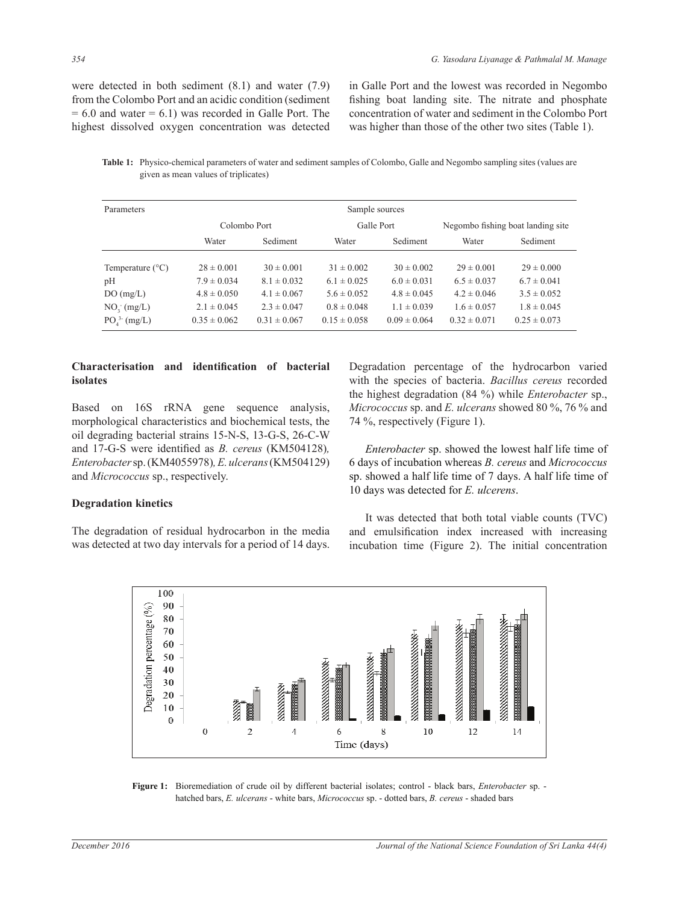were detected in both sediment (8.1) and water (7.9) from the Colombo Port and an acidic condition (sediment  $= 6.0$  and water  $= 6.1$ ) was recorded in Galle Port. The highest dissolved oxygen concentration was detected in Galle Port and the lowest was recorded in Negombo fishing boat landing site. The nitrate and phosphate concentration of water and sediment in the Colombo Port was higher than those of the other two sites (Table 1).

Table 1: Physico-chemical parameters of water and sediment samples of Colombo, Galle and Negombo sampling sites (values are given as mean values of triplicates)

| Parameters                          | Sample sources   |                  |                  |                  |                                   |                  |
|-------------------------------------|------------------|------------------|------------------|------------------|-----------------------------------|------------------|
|                                     | Colombo Port     |                  | Galle Port       |                  | Negombo fishing boat landing site |                  |
|                                     | Water            | Sediment         | Water            | Sediment         | Water                             | Sediment         |
| Temperature $(^{\circ}C)$           | $28 \pm 0.001$   | $30 \pm 0.001$   | $31 \pm 0.002$   | $30 \pm 0.002$   | $29 \pm 0.001$                    | $29 \pm 0.000$   |
| pH                                  | $7.9 \pm 0.034$  | $8.1 \pm 0.032$  | $6.1 \pm 0.025$  | $6.0 \pm 0.031$  | $6.5 \pm 0.037$                   | $6.7 \pm 0.041$  |
| DO(mg/L)                            | $4.8 \pm 0.050$  | $4.1 \pm 0.067$  | $5.6 \pm 0.052$  | $4.8 \pm 0.045$  | $4.2 \pm 0.046$                   | $3.5 \pm 0.052$  |
| $NO_3$ (mg/L)                       | $2.1 \pm 0.045$  | $2.3 \pm 0.047$  | $0.8 \pm 0.048$  | $1.1 \pm 0.039$  | $1.6 \pm 0.057$                   | $1.8 \pm 0.045$  |
| PO <sub>A</sub> <sup>3</sup> (mg/L) | $0.35 \pm 0.062$ | $0.31 \pm 0.067$ | $0.15 \pm 0.058$ | $0.09 \pm 0.064$ | $0.32 \pm 0.071$                  | $0.25 \pm 0.073$ |

## Characterisation and identification of bacterial **Lisolates**

Based on 16S rRNA gene sequence analysis, morphological characteristics and biochemical tests, the oil degrading bacterial strains 15-N-S, 13-G-S, 26-C-W and 17-G-S were identified as *B. cereus* (KM504128)*, Enterobacter* sp. (KM4055978)*, E. ulcerans* (KM504129) and *Micrococcus* sp., respectively.

## **Degradation kinetics**

The degradation of residual hydrocarbon in the media was detected at two day intervals for a period of 14 days.

Degradation percentage of the hydrocarbon varied with the species of bacteria. *Bacillus cereus* recorded the highest degradation (84 %) while *Enterobacter* sp., *Micrococcus* sp. and *E. ulcerans* showed 80 %, 76 % and 74 %, respectively (Figure 1).

 *Enterobacter* sp. showed the lowest half life time of 6 days of incubation whereas *B. cereus* and *Micrococcus* sp. showed a half life time of 7 days. A half life time of 10 days was detected for *E. ulcerens*.

 It was detected that both total viable counts (TVC) and emulsification index increased with increasing incubation time (Figure 2). The initial concentration



Figure 1: Bioremediation of crude oil by different bacterial isolates; control - black bars, *Enterobacter* sp. hatched bars, *E. ulcerans* - white bars, *Micrococcus* sp. - dotted bars, *B. cereus* - shaded bars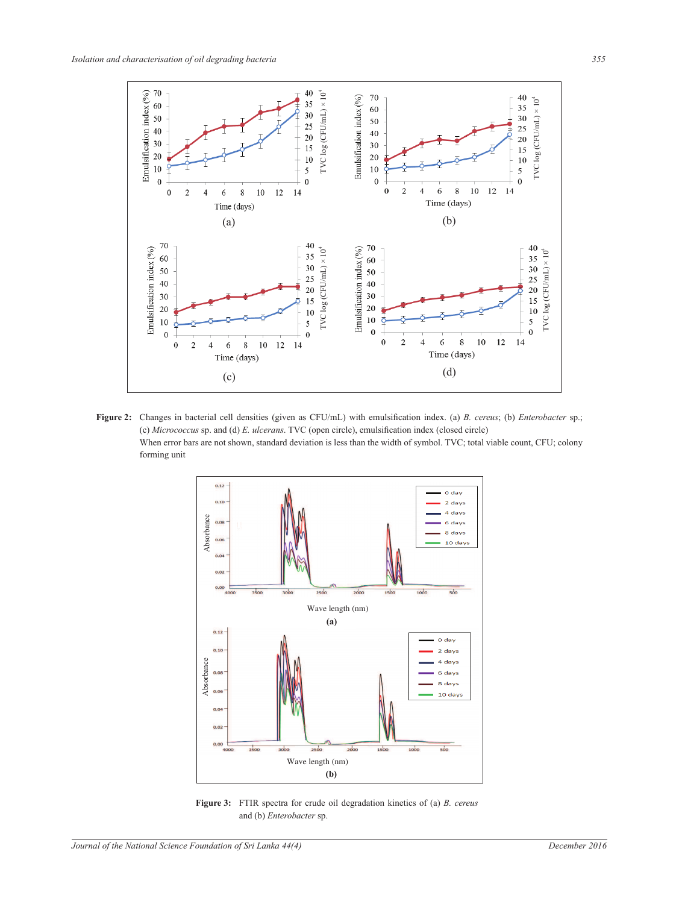

**Figure 2:** Changes in bacterial cell densities (given as CFU/mL) with emulsification index. (a) *B. cereus*; (b) *Enterobacter* sp.; (c) *Micrococcus* sp. and (d) *E. ulcerans*. TVC (open circle), emulsification index (closed circle) When error bars are not shown, standard deviation is less than the width of symbol. TVC; total viable count, CFU; colony forming unit



**Figure 3:** FTIR spectra for crude oil degradation kinetics of (a) *B. cereus* and (b) *Enterobacter* sp.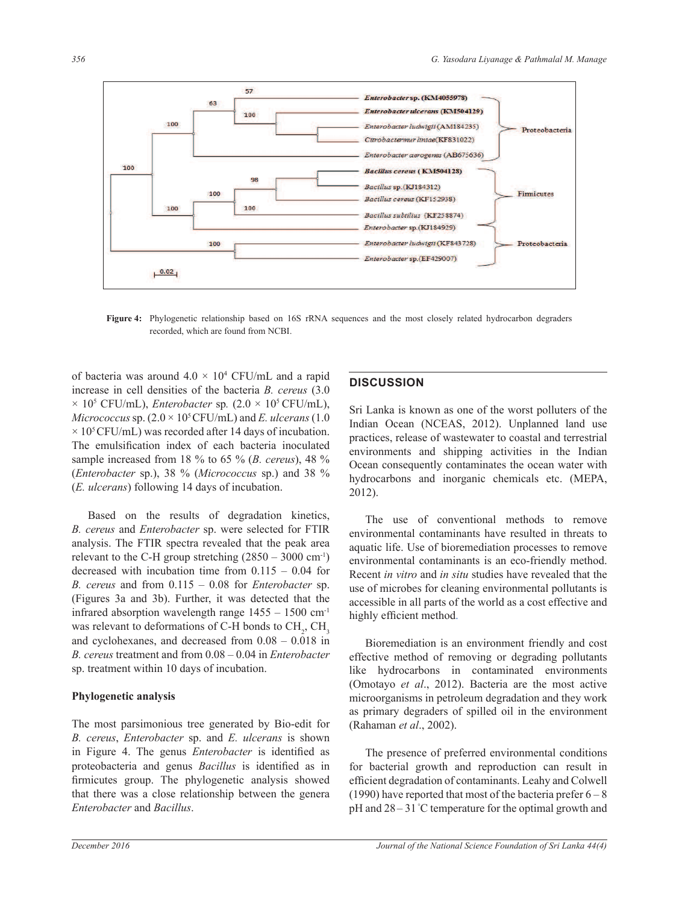

Figure 4: Phylogenetic relationship based on 16S rRNA sequences and the most closely related hydrocarbon degraders recorded, which are found from NCBI.

of bacteria was around  $4.0 \times 10^4$  CFU/mL and a rapid increase in cell densities of the bacteria *B. cereus* (3.0  $\times$  10<sup>5</sup> CFU/mL), *Enterobacter* sp.  $(2.0 \times 10^5 \text{ CFU/mL})$ , *Micrococcus sp.*  $(2.0 \times 10^5 \text{CFU/mL})$  and *E. ulcerans*  $(1.0$  $\times$  10<sup>5</sup> CFU/mL) was recorded after 14 days of incubation. The emulsification index of each bacteria inoculated sample increased from 18 % to 65 % (*B. cereus*), 48 % (*Enterobacter* sp.), 38 % (*Micrococcus* sp.) and 38 % (*E. ulcerans*) following 14 days of incubation.

 Based on the results of degradation kinetics, *B. cereus* and *Enterobacter* sp. were selected for FTIR analysis. The FTIR spectra revealed that the peak area relevant to the C-H group stretching  $(2850 - 3000 \text{ cm}^{-1})$ decreased with incubation time from  $0.115 - 0.04$  for  $B.$  cereus and from  $0.115 - 0.08$  for *Enterobacter* sp. (Figures 3a and 3b). Further, it was detected that the infrared absorption wavelength range  $1455 - 1500$  cm<sup>-1</sup> was relevant to deformations of C-H bonds to  $\text{CH}_2$ ,  $\text{CH}_3$ and cyclohexanes, and decreased from  $0.08 - 0.018$  in *B. cereus treatment and from 0.08 - 0.04 in Enterobacter* sp. treatment within 10 days of incubation.

#### Phylogenetic analysis

The most parsimonious tree generated by Bio-edit for *B. cereus*, *Enterobacter* sp. and *E. ulcerans* is shown in Figure 4. The genus *Enterobacter* is identified as proteobacteria and genus *Bacillus* is identified as in firmicutes group. The phylogenetic analysis showed that there was a close relationship between the genera *Enterobacter* and *Bacillus*.

## **DISCUSSION**

Sri Lanka is known as one of the worst polluters of the Indian Ocean (NCEAS, 2012). Unplanned land use practices, release of wastewater to coastal and terrestrial environments and shipping activities in the Indian Ocean consequently contaminates the ocean water with hydrocarbons and inorganic chemicals etc. (MEPA, 2012).

 The use of conventional methods to remove environmental contaminants have resulted in threats to aquatic life. Use of bioremediation processes to remove environmental contaminants is an eco-friendly method. Recent *in vitro* and *in situ* studies have revealed that the use of microbes for cleaning environmental pollutants is accessible in all parts of the world as a cost effective and highly efficient method.

 Bioremediation is an environment friendly and cost effective method of removing or degrading pollutants like hydrocarbons in contaminated environments (Omotayo *et al*., 2012). Bacteria are the most active microorganisms in petroleum degradation and they work as primary degraders of spilled oil in the environment (Rahaman *et al*., 2002).

 The presence of preferred environmental conditions for bacterial growth and reproduction can result in efficient degradation of contaminants. Leahy and Colwell (1990) have reported that most of the bacteria prefer  $6-8$ pH and  $28 - 31$  °C temperature for the optimal growth and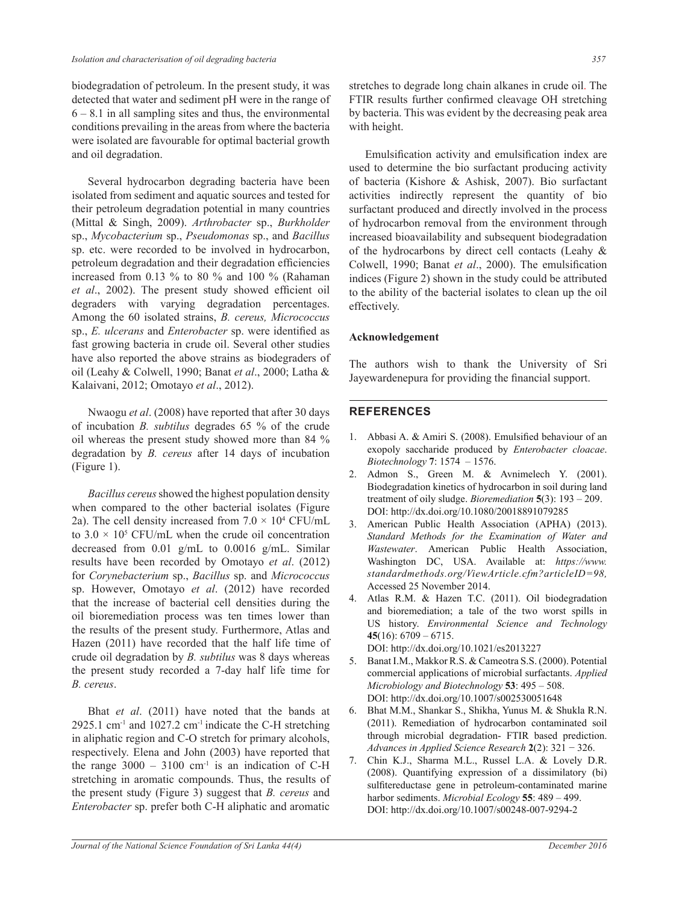biodegradation of petroleum. In the present study, it was detected that water and sediment pH were in the range of  $6 - 8.1$  in all sampling sites and thus, the environmental conditions prevailing in the areas from where the bacteria were isolated are favourable for optimal bacterial growth and oil degradation.

 Several hydrocarbon degrading bacteria have been isolated from sediment and aquatic sources and tested for their petroleum degradation potential in many countries (Mittal & Singh, 2009). *Arthrobacter* sp., *Burkholder*  sp., *Mycobacterium* sp., *Pseudomonas* sp., and *Bacillus* sp. etc. were recorded to be involved in hydrocarbon, petroleum degradation and their degradation efficiencies increased from 0.13 % to 80 % and 100 % (Rahaman et al., 2002). The present study showed efficient oil degraders with varying degradation percentages. Among the 60 isolated strains, *B. cereus, Micrococcus* sp., *E. ulcerans* and *Enterobacter* sp. were identified as fast growing bacteria in crude oil. Several other studies have also reported the above strains as biodegraders of oil (Leahy & Colwell, 1990; Banat *et al*., 2000; Latha & Kalaivani, 2012; Omotayo *et al*., 2012).

 Nwaogu *et al*. (2008) have reported that after 30 days of incubation *B. subtilus* degrades 65 % of the crude oil whereas the present study showed more than 84 % degradation by *B. cereus* after 14 days of incubation (Figure 1).

 *Bacillus cereus* showed the highest population density when compared to the other bacterial isolates (Figure 2a). The cell density increased from  $7.0 \times 10^4$  CFU/mL to  $3.0 \times 10^5$  CFU/mL when the crude oil concentration decreased from 0.01 g/mL to 0.0016 g/mL. Similar results have been recorded by Omotayo *et al*. (2012) for *Corynebacterium* sp., *Bacillus* sp. and *Micrococcus* sp. However, Omotayo *et al*. (2012) have recorded that the increase of bacterial cell densities during the oil bioremediation process was ten times lower than the results of the present study. Furthermore, Atlas and Hazen (2011) have recorded that the half life time of crude oil degradation by *B. subtilus* was 8 days whereas the present study recorded a 7-day half life time for *B. cereus*.

 Bhat *et al*. (2011) have noted that the bands at 2925.1 cm<sup>-1</sup> and 1027.2 cm<sup>-1</sup> indicate the C-H stretching in aliphatic region and C-O stretch for primary alcohols, respectively. Elena and John (2003) have reported that the range  $3000 - 3100$  cm<sup>-1</sup> is an indication of C-H stretching in aromatic compounds. Thus, the results of the present study (Figure 3) suggest that *B. cereus* and *Enterobacter* sp. prefer both C-H aliphatic and aromatic stretches to degrade long chain alkanes in crude oil. The FTIR results further confirmed cleavage OH stretching by bacteria. This was evident by the decreasing peak area with height.

Emulsification activity and emulsification index are used to determine the bio surfactant producing activity of bacteria (Kishore & Ashisk, 2007). Bio surfactant activities indirectly represent the quantity of bio surfactant produced and directly involved in the process of hydrocarbon removal from the environment through increased bioavailability and subsequent biodegradation of the hydrocarbons by direct cell contacts (Leahy & Colwell, 1990; Banat et al., 2000). The emulsification indices (Figure 2) shown in the study could be attributed to the ability of the bacterial isolates to clean up the oil effectively.

## $\bf Acknowledgement$

The authors wish to thank the University of Sri Jayewardenepura for providing the financial support.

## **REFERENCES**

- 1. Abbasi A. & Amiri S. (2008). Emulsified behaviour of an exopoly saccharide produced by *Enterobacter cloacae*. *Biotechnology* **7**
- 2. Admon S., Green M. & Avnimelech Y. (2001). Biodegradation kinetics of hydrocarbon in soil during land treatment of oily sludge. *Bioremediation* **5** DOI: http://dx.doi.org/10.1080/20018891079285
- 3. American Public Health Association (APHA) (2013). *Standard Methods for the Examination of Water and Wastewater*. American Public Health Association, Washington DC, USA. Available at: *https://www. standardmethods.org/ViewArticle.cfm?articleID=98,*  Accessed 25 November 2014.
- 4. Atlas R.M. & Hazen T.C. (2011). Oil biodegradation and bioremediation; a tale of the two worst spills in US history. *Environmental Science and Technology* 45 $(16)$ : 6709 - 6715. DOI: http://dx.doi.org/10.1021/es2013227
- 5. Banat I.M., Makkor R.S. & Cameotra S.S. (2000). Potential commercial applications of microbial surfactants. *Applied Microbiology and Biotechnology* **53** DOI: http://dx.doi.org/10.1007/s002530051648
- 6. Bhat M.M., Shankar S., Shikha, Yunus M. & Shukla R.N. (2011). Remediation of hydrocarbon contaminated soil through microbial degradation- FTIR based prediction. *Advances in Applied Science Research*  $2(2)$ : 321 - 326.
- 7. Chin K.J., Sharma M.L., Russel L.A. & Lovely D.R. (2008). Quantifying expression of a dissimilatory (bi) sulfitereductase gene in petroleum-contaminated marine harbor sediments. *Microbial Ecology* **55** DOI: http://dx.doi.org/10.1007/s00248-007-9294-2